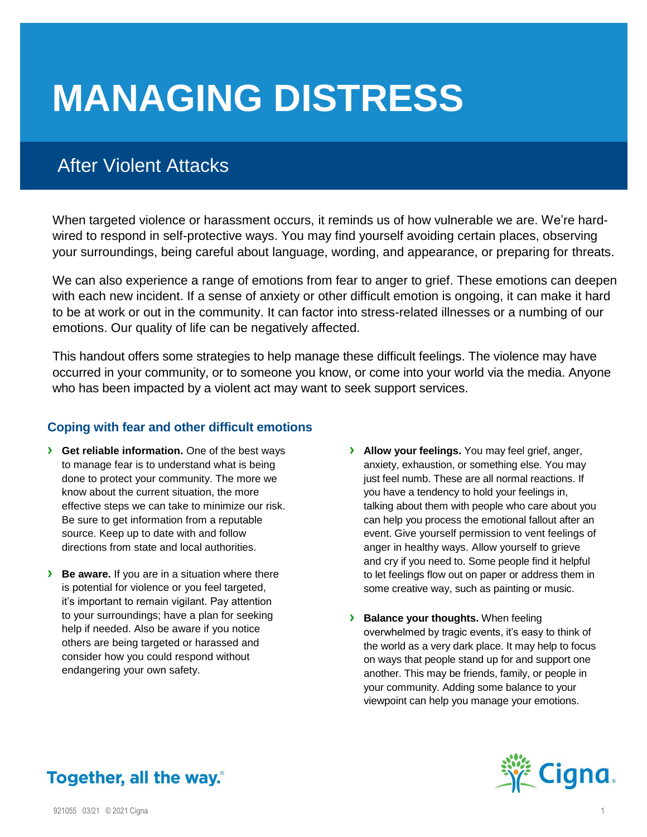# **MANAGING DISTRESS**

## After Violent Attacks

When targeted violence or harassment occurs, it reminds us of how vulnerable we are. We're hardwired to respond in self-protective ways. You may find yourself avoiding certain places, observing your surroundings, being careful about language, wording, and appearance, or preparing for threats.

We can also experience a range of emotions from fear to anger to grief. These emotions can deepen with each new incident. If a sense of anxiety or other difficult emotion is ongoing, it can make it hard to be at work or out in the community. It can factor into stress-related illnesses or a numbing of our emotions. Our quality of life can be negatively affected.

This handout offers some strategies to help manage these difficult feelings. The violence may have occurred in your community, or to someone you know, or come into your world via the media. Anyone who has been impacted by a violent act may want to seek support services.

#### **Coping with fear and other difficult emotions**

- **› Get reliable information.** One of the best ways to manage fear is to understand what is being done to protect your community. The more we know about the current situation, the more effective steps we can take to minimize our risk. Be sure to get information from a reputable source. Keep up to date with and follow directions from state and local authorities.
- **› Be aware.** If you are in a situation where there is potential for violence or you feel targeted, it's important to remain vigilant. Pay attention to your surroundings; have a plan for seeking help if needed. Also be aware if you notice others are being targeted or harassed and consider how you could respond without endangering your own safety.
- **› Allow your feelings.** You may feel grief, anger, anxiety, exhaustion, or something else. You may just feel numb. These are all normal reactions. If you have a tendency to hold your feelings in, talking about them with people who care about you can help you process the emotional fallout after an event. Give yourself permission to vent feelings of anger in healthy ways. Allow yourself to grieve and cry if you need to. Some people find it helpful to let feelings flow out on paper or address them in some creative way, such as painting or music.
- **› Balance your thoughts.** When feeling overwhelmed by tragic events, it's easy to think of the world as a very dark place. It may help to focus on ways that people stand up for and support one another. This may be friends, family, or people in your community. Adding some balance to your viewpoint can help you manage your emotions.



### Together, all the way.